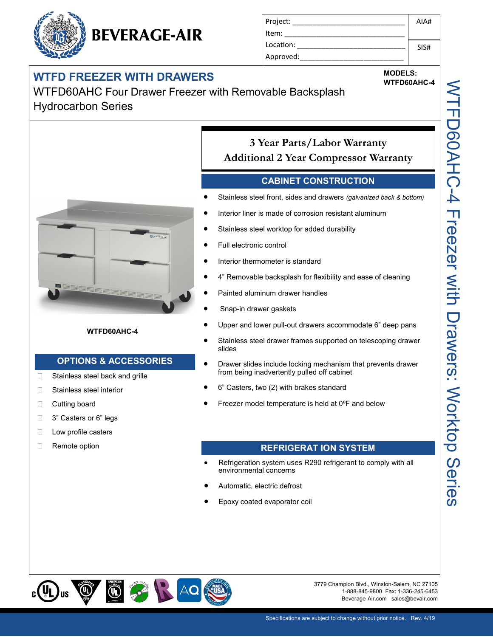### **WIFD FREEZER WITH DRAWERS WAS SERVED ASSESSED MODELS:** WITHOGOAHC-4

WTFD60AHC Four Drawer Freezer with Removable Backsplash Hydrocarbon Series



#### **WTFD60AHC-4**

### **OPTIONS & ACCESSORIES**

- □ Stainless steel back and grille
- □ Stainless steel interior
- **Cutting board**
- □ 3" Casters or 6" legs
- □ Low profile casters
- Remote option

### Stainless steel worktop for added durability Full electronic control

Interior liner is made of corrosion resistant aluminum

Stainless steel front, sides and drawers *(galvanized back & bottom)*

**CABINET CONSTRUCTION**

**3 Year Parts/Labor Warranty Additional 2 Year Compressor Warranty**

Project: \_\_\_\_\_\_\_\_\_\_\_\_\_\_\_\_\_\_\_\_\_\_\_\_\_\_\_\_

Item: Location: Approved:

- Interior thermometer is standard
- 4" Removable backsplash for flexibility and ease of cleaning
- Painted aluminum drawer handles
- Snap-in drawer gaskets
- Upper and lower pull-out drawers accommodate 6" deep pans
- Stainless steel drawer frames supported on telescoping drawer slides
- Drawer slides include locking mechanism that prevents drawer from being inadvertently pulled off cabinet
- 6" Casters, two (2) with brakes standard
- Freezer model temperature is held at 0ºF and below

#### **REFRIGERAT ION SYSTEM**

- Refrigeration system uses R290 refrigerant to comply with all environmental concerns
- Automatic, electric defrost
- Epoxy coated evaporator coil



3779 Champion Blvd., Winston-Salem, NC 27105 1-888-845-9800 Fax: 1-336-245-6453 Beverage-Air.com sales@bevair.com

AIA#

SIS#

## **BEVERAGE-AIR**